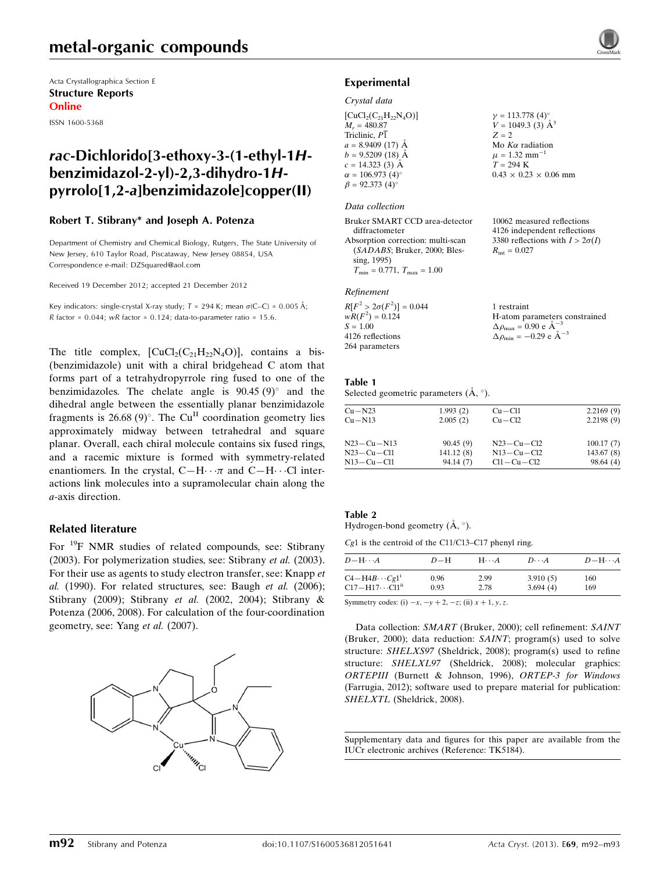## metal-organic compounds

Acta Crystallographica Section E Structure Reports Online

ISSN 1600-5368

## rac-Dichlorido[3-ethoxy-3-(1-ethyl-1Hbenzimidazol-2-yl)-2,3-dihydro-1Hpyrrolo[1,2-a]benzimidazole]copper(II)

### Robert T. Stibrany\* and Joseph A. Potenza

Department of Chemistry and Chemical Biology, Rutgers, The State University of New Jersey, 610 Taylor Road, Piscataway, New Jersey 08854, USA Correspondence e-mail: [DZSquared@aol.com](https://scripts.iucr.org/cgi-bin/cr.cgi?rm=pdfbb&cnor=tk5184&bbid=BB15)

Received 19 December 2012; accepted 21 December 2012

Key indicators: single-crystal X-ray study;  $T = 294$  K; mean  $\sigma$ (C–C) = 0.005 Å; R factor =  $0.044$ ; wR factor =  $0.124$ ; data-to-parameter ratio = 15.6.

The title complex,  $[CuCl<sub>2</sub>(C<sub>21</sub>H<sub>22</sub>N<sub>4</sub>O)]$ , contains a bis-(benzimidazole) unit with a chiral bridgehead C atom that forms part of a tetrahydropyrrole ring fused to one of the benzimidazoles. The chelate angle is  $90.45 (9)^\circ$  and the dihedral angle between the essentially planar benzimidazole fragments is 26.68 (9)°. The Cu<sup>II</sup> coordination geometry lies approximately midway between tetrahedral and square planar. Overall, each chiral molecule contains six fused rings, and a racemic mixture is formed with symmetry-related enantiomers. In the crystal,  $C-H \cdots \pi$  and  $C-H \cdots$ Cl interactions link molecules into a supramolecular chain along the a-axis direction.

### Related literature

For <sup>19</sup>F NMR studies of related compounds, see: Stibrany (2003). For polymerization studies, see: Stibrany et al. (2003). For their use as agents to study electron transfer, see: Knapp et  $al.$  (1990). For related structures, see: Baugh et  $al.$  (2006); Stibrany (2009); Stibrany et al. (2002, 2004); Stibrany & Potenza (2006, 2008). For calculation of the four-coordination geometry, see: Yang et al. (2007).



### Experimental

### Crystal data

| $\gamma = 113.778$ (4) <sup>o</sup><br>$V = 1049.3$ (3) $\AA^3$ |
|-----------------------------------------------------------------|
| $Z = 2$                                                         |
| Mo $K\alpha$ radiation                                          |
| $\mu = 1.32$ mm <sup>-1</sup>                                   |
| $T = 294$ K                                                     |
| $0.43 \times 0.23 \times 0.06$ mm                               |
|                                                                 |
|                                                                 |

#### Data collection

| Bruker SMART CCD area-detector               | 10062 measured reflections             |
|----------------------------------------------|----------------------------------------|
| diffractometer                               | 4126 independent reflections           |
| Absorption correction: multi-scan            | 3380 reflections with $I > 2\sigma(I)$ |
| $(SADABS; Bruker, 2000; Bles-$               | $R_{\rm int} = 0.027$                  |
| sing, 1995)                                  |                                        |
| $T_{\rm min} = 0.771$ , $T_{\rm max} = 1.00$ |                                        |

#### Refinement

| $R[F^2 > 2\sigma(F^2)] = 0.044$ | 1 restraint                                        |
|---------------------------------|----------------------------------------------------|
| $wR(F^2) = 0.124$               | H-atom parameters constrained                      |
| $S = 1.00$                      | $\Delta \rho_{\text{max}} = 0.90 \text{ e A}^{-3}$ |
| 4126 reflections                | $\Delta \rho_{\text{min}} = -0.29$ e $\AA^{-3}$    |
| 264 parameters                  |                                                    |

### Table 1

Selected geometric parameters  $(\AA, \degree)$ .

| $Cu - N23$ | 1.993(2)  | $Cu - Cl1$       | 2.2169(9) |
|------------|-----------|------------------|-----------|
| $Cu - N13$ | 2.005(2)  | $Cu - Cl2$       | 2.2198(9) |
| N23-Cu-N13 | 90.45(9)  | $N23 - Cu - Cl2$ | 100.17(7) |
| N23-Cu-Cl1 | 141.12(8) | $N13 - Cu - Cl2$ | 143.67(8) |
| N13-Cu-Cl1 | 94.14(7)  | $Cl1 - Cu - Cl2$ | 98.64(4)  |

#### Table 2 Hydrogen-bond geometry  $(\AA, \degree)$ .

Cg1 is the centroid of the C11/C13–C17 phenyl ring.

| $D$ $\!-\mathrm{H}\cdots A$          | $D-H$ | $H\cdots A$ | $D\cdots A$ | $D - H \cdots A$ |
|--------------------------------------|-------|-------------|-------------|------------------|
| $C4 - H4B \cdots Cg1^i$              | 0.96  | 2.99        | 3.910(5)    | 160              |
| $C17 - H17 \cdots C11$ <sup>ii</sup> | 0.93  | 2.78        | 3.694(4)    | 169              |

Symmetry codes: (i)  $-x$ ,  $-y + 2$ ,  $-z$ ; (ii)  $x + 1$ ,  $y$ , z.

Data collection: SMART (Bruker, 2000); cell refinement: SAINT (Bruker, 2000); data reduction: SAINT; program(s) used to solve structure: SHELXS97 (Sheldrick, 2008); program(s) used to refine structure: SHELXL97 (Sheldrick, 2008); molecular graphics: ORTEPIII (Burnett & Johnson, 1996), ORTEP-3 for Windows (Farrugia, 2012); software used to prepare material for publication: SHELXTL (Sheldrick, 2008).

Supplementary data and figures for this paper are available from the IUCr electronic archives (Reference: TK5184).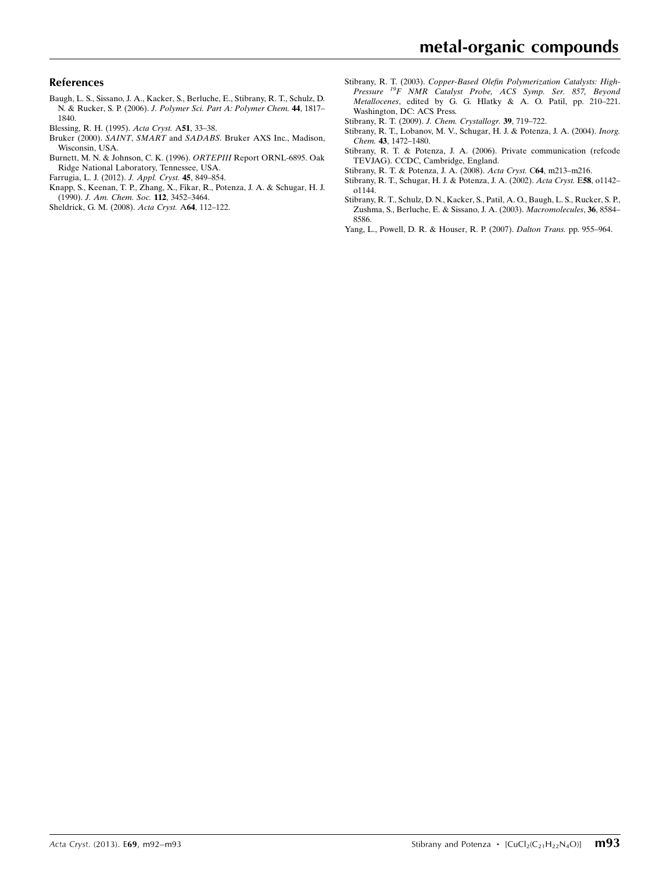### References

- [Baugh, L. S., Sissano, J. A., Kacker, S., Berluche, E., Stibrany, R. T., Schulz, D.](https://scripts.iucr.org/cgi-bin/cr.cgi?rm=pdfbb&cnor=tk5184&bbid=BB1) N. & Rucker, S. P. (2006). [J. Polymer Sci. Part A: Polymer Chem.](https://scripts.iucr.org/cgi-bin/cr.cgi?rm=pdfbb&cnor=tk5184&bbid=BB1) 44, 1817– [1840.](https://scripts.iucr.org/cgi-bin/cr.cgi?rm=pdfbb&cnor=tk5184&bbid=BB1)
- [Blessing, R. H. \(1995\).](https://scripts.iucr.org/cgi-bin/cr.cgi?rm=pdfbb&cnor=tk5184&bbid=BB2) Acta Cryst. A51, 33–38.
- Bruker (2000). SAINT, SMART and SADABS[. Bruker AXS Inc., Madison,](https://scripts.iucr.org/cgi-bin/cr.cgi?rm=pdfbb&cnor=tk5184&bbid=BB3) [Wisconsin, USA.](https://scripts.iucr.org/cgi-bin/cr.cgi?rm=pdfbb&cnor=tk5184&bbid=BB3)
- [Burnett, M. N. & Johnson, C. K. \(1996\).](https://scripts.iucr.org/cgi-bin/cr.cgi?rm=pdfbb&cnor=tk5184&bbid=BB4) ORTEPIII Report ORNL-6895. Oak [Ridge National Laboratory, Tennessee, USA.](https://scripts.iucr.org/cgi-bin/cr.cgi?rm=pdfbb&cnor=tk5184&bbid=BB4)
- [Farrugia, L. J. \(2012\).](https://scripts.iucr.org/cgi-bin/cr.cgi?rm=pdfbb&cnor=tk5184&bbid=BB5) J. Appl. Cryst. 45, 849–854.
- [Knapp, S., Keenan, T. P., Zhang, X., Fikar, R., Potenza, J. A. & Schugar, H. J.](https://scripts.iucr.org/cgi-bin/cr.cgi?rm=pdfbb&cnor=tk5184&bbid=BB6) (1990). [J. Am. Chem. Soc.](https://scripts.iucr.org/cgi-bin/cr.cgi?rm=pdfbb&cnor=tk5184&bbid=BB6) 112, 3452–3464.
- [Sheldrick, G. M. \(2008\).](https://scripts.iucr.org/cgi-bin/cr.cgi?rm=pdfbb&cnor=tk5184&bbid=BB7) Acta Cryst. A64, 112–122.
- Stibrany, R. T. (2003). [Copper-Based Olefin Polymerization Catalysts: High-](https://scripts.iucr.org/cgi-bin/cr.cgi?rm=pdfbb&cnor=tk5184&bbid=BB8)[Pressure](https://scripts.iucr.org/cgi-bin/cr.cgi?rm=pdfbb&cnor=tk5184&bbid=BB8) <sup>19</sup>F NMR Catalyst Probe, ACS Symp. Ser. 857, Beyond Metallocenes[, edited by G. G. Hlatky & A. O. Patil, pp. 210–221.](https://scripts.iucr.org/cgi-bin/cr.cgi?rm=pdfbb&cnor=tk5184&bbid=BB8) [Washington, DC: ACS Press.](https://scripts.iucr.org/cgi-bin/cr.cgi?rm=pdfbb&cnor=tk5184&bbid=BB8)
- [Stibrany, R. T. \(2009\).](https://scripts.iucr.org/cgi-bin/cr.cgi?rm=pdfbb&cnor=tk5184&bbid=BB9) J. Chem. Crystallogr. 39, 719–722.
- [Stibrany, R. T., Lobanov, M. V., Schugar, H. J. & Potenza, J. A. \(2004\).](https://scripts.iucr.org/cgi-bin/cr.cgi?rm=pdfbb&cnor=tk5184&bbid=BB10) Inorg. Chem. 43[, 1472–1480.](https://scripts.iucr.org/cgi-bin/cr.cgi?rm=pdfbb&cnor=tk5184&bbid=BB10)
- [Stibrany, R. T. & Potenza, J. A. \(2006\). Private communication \(refcode](https://scripts.iucr.org/cgi-bin/cr.cgi?rm=pdfbb&cnor=tk5184&bbid=BB11) [TEVJAG\). CCDC, Cambridge, England.](https://scripts.iucr.org/cgi-bin/cr.cgi?rm=pdfbb&cnor=tk5184&bbid=BB11)
- [Stibrany, R. T. & Potenza, J. A. \(2008\).](https://scripts.iucr.org/cgi-bin/cr.cgi?rm=pdfbb&cnor=tk5184&bbid=BB12) Acta Cryst. C64, m213–m216.
- [Stibrany, R. T., Schugar, H. J. & Potenza, J. A. \(2002\).](https://scripts.iucr.org/cgi-bin/cr.cgi?rm=pdfbb&cnor=tk5184&bbid=BB13) Acta Cryst. E58, o1142–  $0.1144$
- [Stibrany, R. T., Schulz, D. N., Kacker, S., Patil, A. O., Baugh, L. S., Rucker, S. P.,](https://scripts.iucr.org/cgi-bin/cr.cgi?rm=pdfbb&cnor=tk5184&bbid=BB14) [Zushma, S., Berluche, E. & Sissano, J. A. \(2003\).](https://scripts.iucr.org/cgi-bin/cr.cgi?rm=pdfbb&cnor=tk5184&bbid=BB14) Macromolecules, 36, 8584– [8586.](https://scripts.iucr.org/cgi-bin/cr.cgi?rm=pdfbb&cnor=tk5184&bbid=BB14)
- [Yang, L., Powell, D. R. & Houser, R. P. \(2007\).](https://scripts.iucr.org/cgi-bin/cr.cgi?rm=pdfbb&cnor=tk5184&bbid=BB15) Dalton Trans. pp. 955–964.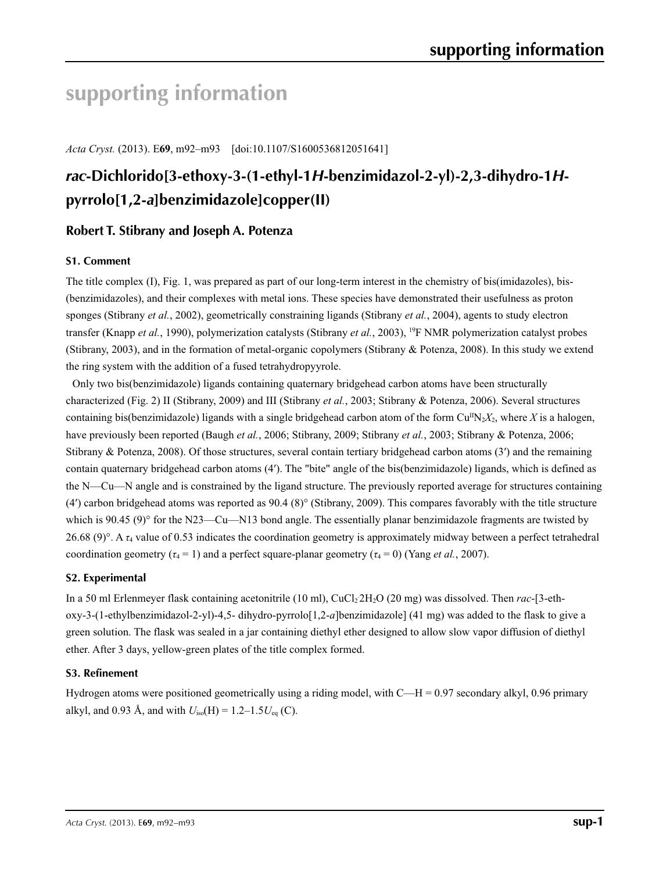# **supporting information**

*Acta Cryst.* (2013). E**69**, m92–m93 [doi:10.1107/S1600536812051641]

## *rac***-Dichlorido[3-ethoxy-3-(1-ethyl-1***H***-benzimidazol-2-yl)-2,3-dihydro-1***H***pyrrolo[1,2-***a***]benzimidazole]copper(II)**

## **Robert T. Stibrany and Joseph A. Potenza**

### **S1. Comment**

The title complex (I), Fig. 1, was prepared as part of our long-term interest in the chemistry of bis(imidazoles), bis- (benzimidazoles), and their complexes with metal ions. These species have demonstrated their usefulness as proton sponges (Stibrany *et al.*, 2002), geometrically constraining ligands (Stibrany *et al.*, 2004), agents to study electron transfer (Knapp *et al.*, 1990), polymerization catalysts (Stibrany *et al.*, 2003), 19F NMR polymerization catalyst probes (Stibrany, 2003), and in the formation of metal-organic copolymers (Stibrany & Potenza, 2008). In this study we extend the ring system with the addition of a fused tetrahydropyyrole.

Only two bis(benzimidazole) ligands containing quaternary bridgehead carbon atoms have been structurally characterized (Fig. 2) II (Stibrany, 2009) and III (Stibrany *et al.*, 2003; Stibrany & Potenza, 2006). Several structures containing bis(benzimidazole) ligands with a single bridgehead carbon atom of the form  $Cu^{II}N_2X_2$ , where *X* is a halogen, have previously been reported (Baugh *et al.*, 2006; Stibrany, 2009; Stibrany *et al.*, 2003; Stibrany & Potenza, 2006; Stibrany & Potenza, 2008). Of those structures, several contain tertiary bridgehead carbon atoms (3′) and the remaining contain quaternary bridgehead carbon atoms (4′). The "bite" angle of the bis(benzimidazole) ligands, which is defined as the N—Cu—N angle and is constrained by the ligand structure. The previously reported average for structures containing (4′) carbon bridgehead atoms was reported as 90.4 (8)° (Stibrany, 2009). This compares favorably with the title structure which is 90.45 (9)° for the N23—Cu—N13 bond angle. The essentially planar benzimidazole fragments are twisted by 26.68 (9)°. A *τ*4 value of 0.53 indicates the coordination geometry is approximately midway between a perfect tetrahedral coordination geometry ( $\tau_4$  = 1) and a perfect square-planar geometry ( $\tau_4$  = 0) (Yang *et al.*, 2007).

### **S2. Experimental**

In a 50 ml Erlenmeyer flask containing acetonitrile (10 ml), CuCl<sub>2</sub>2H<sub>2</sub>O (20 mg) was dissolved. Then *rac*-[3-ethoxy-3-(1-ethylbenzimidazol-2-yl)-4,5- dihydro-pyrrolo[1,2-*a*]benzimidazole] (41 mg) was added to the flask to give a green solution. The flask was sealed in a jar containing diethyl ether designed to allow slow vapor diffusion of diethyl ether. After 3 days, yellow-green plates of the title complex formed.

### **S3. Refinement**

Hydrogen atoms were positioned geometrically using a riding model, with C—H = 0.97 secondary alkyl, 0.96 primary alkyl, and 0.93 Å, and with  $U_{iso}(H) = 1.2 - 1.5U_{eq}(C)$ .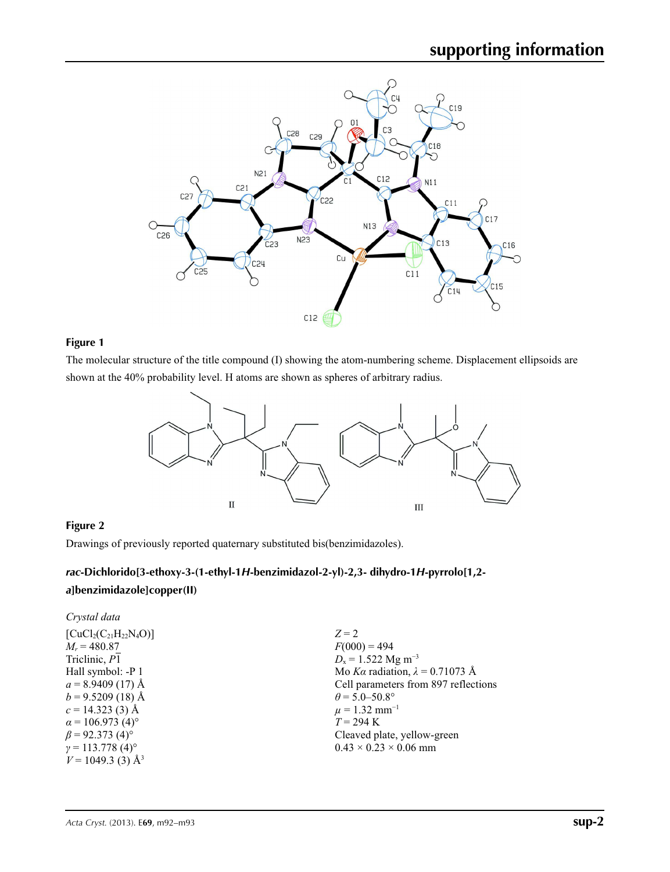

### **Figure 1**

The molecular structure of the title compound (I) showing the atom-numbering scheme. Displacement ellipsoids are shown at the 40% probability level. H atoms are shown as spheres of arbitrary radius.



## **Figure 2**

Drawings of previously reported quaternary substituted bis(benzimidazoles).

## *rac***-Dichlorido[3-ethoxy-3-(1-ethyl-1***H***-benzimidazol-2-yl)-2,3- dihydro-1***H***-pyrrolo[1,2** *a***]benzimidazole]copper(II)**

### *Crystal data*

| $[CuCl2(C21H22N4O)]$                |
|-------------------------------------|
| $M_r = 480.87$                      |
| Triclinic, P1                       |
| Hall symbol: -P 1                   |
| $a = 8.9409(17)$ Å                  |
| $b = 9.5209(18)$ Å                  |
| $c = 14.323(3)$ Å                   |
| $\alpha$ = 106.973 (4) <sup>o</sup> |
| $\beta$ = 92.373 (4) <sup>o</sup>   |
| $\gamma = 113.778(4)$ °             |
| $V = 1049.3$ (3) Å <sup>3</sup>     |
|                                     |

 $Z = 2$  $F(000) = 494$  $D_x = 1.522$  Mg m<sup>-3</sup> Mo *Kα* radiation, *λ* = 0.71073 Å Cell parameters from 897 reflections  $\theta$  = 5.0–50.8°  $\mu = 1.32$  mm<sup>-1</sup> *T* = 294 K Cleaved plate, yellow-green  $0.43 \times 0.23 \times 0.06$  mm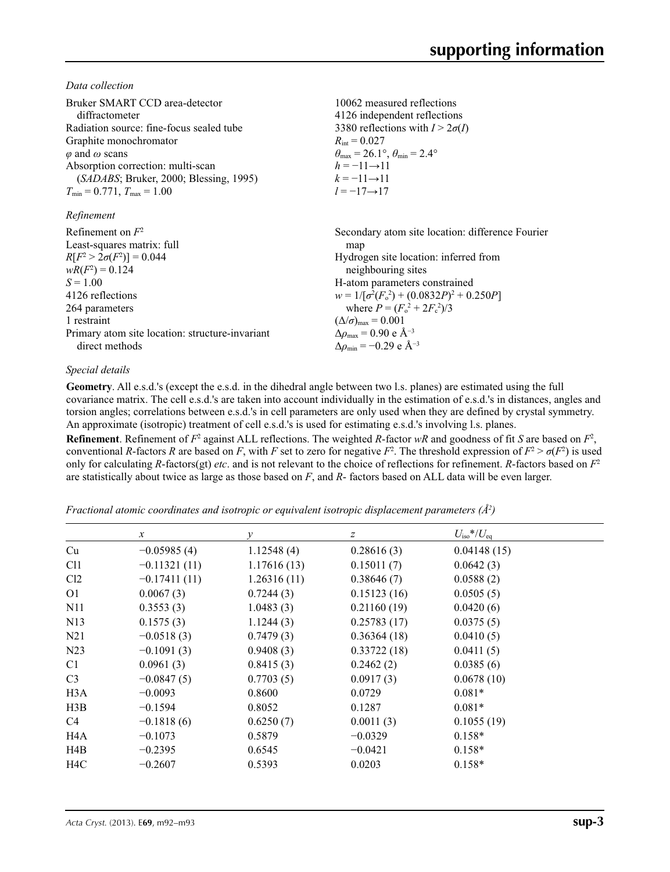*Data collection*

| Bruker SMART CCD area-detector                  | 10062 measured reflections                                              |
|-------------------------------------------------|-------------------------------------------------------------------------|
| diffractometer                                  | 4126 independent reflections                                            |
| Radiation source: fine-focus sealed tube        | 3380 reflections with $I > 2\sigma(I)$                                  |
| Graphite monochromator                          | $R_{\rm int} = 0.027$                                                   |
| $\varphi$ and $\omega$ scans                    | $\theta_{\text{max}} = 26.1^{\circ}, \theta_{\text{min}} = 2.4^{\circ}$ |
| Absorption correction: multi-scan               | $h = -11 \rightarrow 11$                                                |
| (SADABS; Bruker, 2000; Blessing, 1995)          | $k = -11 \rightarrow 11$                                                |
| $T_{\min} = 0.771$ , $T_{\max} = 1.00$          | $l = -17 \rightarrow 17$                                                |
| Refinement                                      |                                                                         |
| Refinement on $F^2$                             | Secondary atom site location: difference Fourier                        |
| Least-squares matrix: full                      | map                                                                     |
| $R[F^2 > 2\sigma(F^2)] = 0.044$                 | Hydrogen site location: inferred from                                   |
| $wR(F^2) = 0.124$                               | neighbouring sites                                                      |
| $S = 1.00$                                      | H-atom parameters constrained                                           |
| 4126 reflections                                | $w = 1/[\sigma^2(F_0^2) + (0.0832P)^2 + 0.250P]$                        |
| 264 parameters                                  | where $P = (F_0^2 + 2F_c^2)/3$                                          |
| 1 restraint                                     | $(\Delta/\sigma)_{\text{max}} = 0.001$                                  |
| Primary atom site location: structure-invariant | $\Delta\rho_{\rm max}$ = 0.90 e Å <sup>-3</sup>                         |
| direct methods                                  | $\Delta\rho_{\rm min} = -0.29 \text{ e A}^{-3}$                         |

### *Special details*

**Geometry**. All e.s.d.'s (except the e.s.d. in the dihedral angle between two l.s. planes) are estimated using the full covariance matrix. The cell e.s.d.'s are taken into account individually in the estimation of e.s.d.'s in distances, angles and torsion angles; correlations between e.s.d.'s in cell parameters are only used when they are defined by crystal symmetry. An approximate (isotropic) treatment of cell e.s.d.'s is used for estimating e.s.d.'s involving l.s. planes.

**Refinement**. Refinement of  $F^2$  against ALL reflections. The weighted *R*-factor  $wR$  and goodness of fit *S* are based on  $F^2$ , conventional *R*-factors *R* are based on *F*, with *F* set to zero for negative  $F^2$ . The threshold expression of  $F^2 > \sigma(F^2)$  is used only for calculating *R*-factors(gt) *etc*. and is not relevant to the choice of reflections for refinement. *R*-factors based on *F*<sup>2</sup> are statistically about twice as large as those based on *F*, and *R*- factors based on ALL data will be even larger.

*Fractional atomic coordinates and isotropic or equivalent isotropic displacement parameters (Å<sup>2</sup>)* 

|                  | $\mathcal{X}$  | $\mathcal{Y}$ | z           | $U_{\rm iso}*/U_{\rm eq}$ |  |
|------------------|----------------|---------------|-------------|---------------------------|--|
| Cu               | $-0.05985(4)$  | 1.12548(4)    | 0.28616(3)  | 0.04148(15)               |  |
| C <sub>11</sub>  | $-0.11321(11)$ | 1.17616(13)   | 0.15011(7)  | 0.0642(3)                 |  |
| Cl2              | $-0.17411(11)$ | 1.26316(11)   | 0.38646(7)  | 0.0588(2)                 |  |
| O <sub>1</sub>   | 0.0067(3)      | 0.7244(3)     | 0.15123(16) | 0.0505(5)                 |  |
| N <sub>1</sub>   | 0.3553(3)      | 1.0483(3)     | 0.21160(19) | 0.0420(6)                 |  |
| N13              | 0.1575(3)      | 1.1244(3)     | 0.25783(17) | 0.0375(5)                 |  |
| N <sub>21</sub>  | $-0.0518(3)$   | 0.7479(3)     | 0.36364(18) | 0.0410(5)                 |  |
| N <sub>23</sub>  | $-0.1091(3)$   | 0.9408(3)     | 0.33722(18) | 0.0411(5)                 |  |
| C <sub>1</sub>   | 0.0961(3)      | 0.8415(3)     | 0.2462(2)   | 0.0385(6)                 |  |
| C <sub>3</sub>   | $-0.0847(5)$   | 0.7703(5)     | 0.0917(3)   | 0.0678(10)                |  |
| H <sub>3</sub> A | $-0.0093$      | 0.8600        | 0.0729      | $0.081*$                  |  |
| H3B              | $-0.1594$      | 0.8052        | 0.1287      | $0.081*$                  |  |
| C <sub>4</sub>   | $-0.1818(6)$   | 0.6250(7)     | 0.0011(3)   | 0.1055(19)                |  |
| H <sub>4</sub> A | $-0.1073$      | 0.5879        | $-0.0329$   | $0.158*$                  |  |
| H4B              | $-0.2395$      | 0.6545        | $-0.0421$   | $0.158*$                  |  |
| H <sub>4</sub> C | $-0.2607$      | 0.5393        | 0.0203      | $0.158*$                  |  |
|                  |                |               |             |                           |  |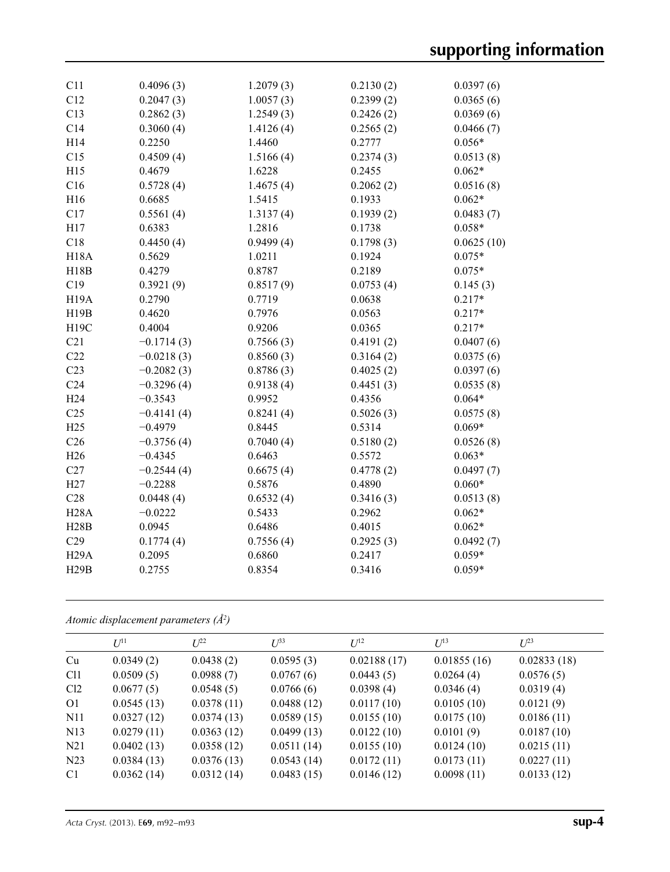| C11               | 0.4096(3)    | 1.2079(3) | 0.2130(2) | 0.0397(6)  |
|-------------------|--------------|-----------|-----------|------------|
| C12               | 0.2047(3)    | 1.0057(3) | 0.2399(2) | 0.0365(6)  |
| C13               | 0.2862(3)    | 1.2549(3) | 0.2426(2) | 0.0369(6)  |
| C14               | 0.3060(4)    | 1.4126(4) | 0.2565(2) | 0.0466(7)  |
| H14               | 0.2250       | 1.4460    | 0.2777    | $0.056*$   |
| C15               | 0.4509(4)    | 1.5166(4) | 0.2374(3) | 0.0513(8)  |
| H15               | 0.4679       | 1.6228    | 0.2455    | $0.062*$   |
| C16               | 0.5728(4)    | 1.4675(4) | 0.2062(2) | 0.0516(8)  |
| H16               | 0.6685       | 1.5415    | 0.1933    | $0.062*$   |
| C17               | 0.5561(4)    | 1.3137(4) | 0.1939(2) | 0.0483(7)  |
| H17               | 0.6383       | 1.2816    | 0.1738    | $0.058*$   |
| C18               | 0.4450(4)    | 0.9499(4) | 0.1798(3) | 0.0625(10) |
| <b>H18A</b>       | 0.5629       | 1.0211    | 0.1924    | $0.075*$   |
| H18B              | 0.4279       | 0.8787    | 0.2189    | $0.075*$   |
| C19               | 0.3921(9)    | 0.8517(9) | 0.0753(4) | 0.145(3)   |
| H <sub>19</sub> A | 0.2790       | 0.7719    | 0.0638    | $0.217*$   |
| H19B              | 0.4620       | 0.7976    | 0.0563    | $0.217*$   |
| <b>H19C</b>       | 0.4004       | 0.9206    | 0.0365    | $0.217*$   |
| C21               | $-0.1714(3)$ | 0.7566(3) | 0.4191(2) | 0.0407(6)  |
| C22               | $-0.0218(3)$ | 0.8560(3) | 0.3164(2) | 0.0375(6)  |
| C23               | $-0.2082(3)$ | 0.8786(3) | 0.4025(2) | 0.0397(6)  |
| C <sub>24</sub>   | $-0.3296(4)$ | 0.9138(4) | 0.4451(3) | 0.0535(8)  |
| H <sub>24</sub>   | $-0.3543$    | 0.9952    | 0.4356    | $0.064*$   |
| C <sub>25</sub>   | $-0.4141(4)$ | 0.8241(4) | 0.5026(3) | 0.0575(8)  |
| H25               | $-0.4979$    | 0.8445    | 0.5314    | $0.069*$   |
| C <sub>26</sub>   | $-0.3756(4)$ | 0.7040(4) | 0.5180(2) | 0.0526(8)  |
| H <sub>26</sub>   | $-0.4345$    | 0.6463    | 0.5572    | $0.063*$   |
| C27               | $-0.2544(4)$ | 0.6675(4) | 0.4778(2) | 0.0497(7)  |
| H27               | $-0.2288$    | 0.5876    | 0.4890    | $0.060*$   |
| C28               | 0.0448(4)    | 0.6532(4) | 0.3416(3) | 0.0513(8)  |
| <b>H28A</b>       | $-0.0222$    | 0.5433    | 0.2962    | $0.062*$   |
| H28B              | 0.0945       | 0.6486    | 0.4015    | $0.062*$   |
| C29               | 0.1774(4)    | 0.7556(4) | 0.2925(3) | 0.0492(7)  |
| H <sub>29</sub> A | 0.2095       | 0.6860    | 0.2417    | $0.059*$   |
| H29B              | 0.2755       | 0.8354    | 0.3416    | $0.059*$   |
|                   |              |           |           |            |

*Atomic displacement parameters (Å2 )*

|                 | $I$ <sup>[11]</sup> | $L^{22}$   | $L^{33}$   | $U^{12}$    | $U^{13}$    | $L^{23}$    |
|-----------------|---------------------|------------|------------|-------------|-------------|-------------|
| Cu              | 0.0349(2)           | 0.0438(2)  | 0.0595(3)  | 0.02188(17) | 0.01855(16) | 0.02833(18) |
| C <sub>11</sub> | 0.0509(5)           | 0.0988(7)  | 0.0767(6)  | 0.0443(5)   | 0.0264(4)   | 0.0576(5)   |
| Cl2             | 0.0677(5)           | 0.0548(5)  | 0.0766(6)  | 0.0398(4)   | 0.0346(4)   | 0.0319(4)   |
| O <sub>1</sub>  | 0.0545(13)          | 0.0378(11) | 0.0488(12) | 0.0117(10)  | 0.0105(10)  | 0.0121(9)   |
| N <sub>1</sub>  | 0.0327(12)          | 0.0374(13) | 0.0589(15) | 0.0155(10)  | 0.0175(10)  | 0.0186(11)  |
| N <sub>13</sub> | 0.0279(11)          | 0.0363(12) | 0.0499(13) | 0.0122(10)  | 0.0101(9)   | 0.0187(10)  |
| N <sub>21</sub> | 0.0402(13)          | 0.0358(12) | 0.0511(14) | 0.0155(10)  | 0.0124(10)  | 0.0215(11)  |
| N <sub>23</sub> | 0.0384(13)          | 0.0376(13) | 0.0543(14) | 0.0172(11)  | 0.0173(11)  | 0.0227(11)  |
| C <sub>1</sub>  | 0.0362(14)          | 0.0312(14) | 0.0483(15) | 0.0146(12)  | 0.0098(11)  | 0.0133(12)  |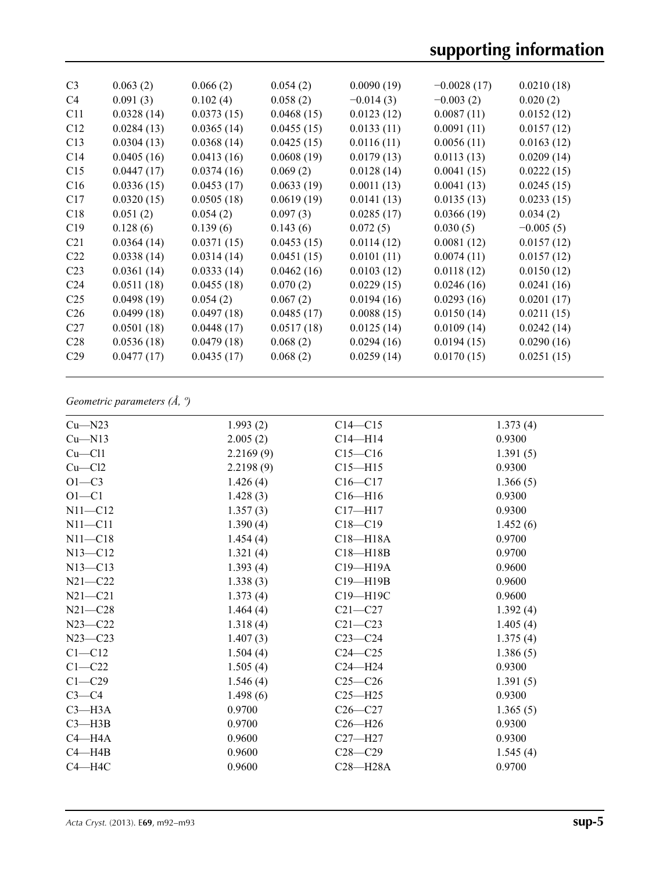| C <sub>3</sub>  | 0.063(2)   | 0.066(2)   | 0.054(2)   | 0.0090(19)  | $-0.0028(17)$ | 0.0210(18)  |
|-----------------|------------|------------|------------|-------------|---------------|-------------|
| C4              | 0.091(3)   | 0.102(4)   | 0.058(2)   | $-0.014(3)$ | $-0.003(2)$   | 0.020(2)    |
| C11             | 0.0328(14) | 0.0373(15) | 0.0468(15) | 0.0123(12)  | 0.0087(11)    | 0.0152(12)  |
| C12             | 0.0284(13) | 0.0365(14) | 0.0455(15) | 0.0133(11)  | 0.0091(11)    | 0.0157(12)  |
| C13             | 0.0304(13) | 0.0368(14) | 0.0425(15) | 0.0116(11)  | 0.0056(11)    | 0.0163(12)  |
| C14             | 0.0405(16) | 0.0413(16) | 0.0608(19) | 0.0179(13)  | 0.0113(13)    | 0.0209(14)  |
| C15             | 0.0447(17) | 0.0374(16) | 0.069(2)   | 0.0128(14)  | 0.0041(15)    | 0.0222(15)  |
| C16             | 0.0336(15) | 0.0453(17) | 0.0633(19) | 0.0011(13)  | 0.0041(13)    | 0.0245(15)  |
| C17             | 0.0320(15) | 0.0505(18) | 0.0619(19) | 0.0141(13)  | 0.0135(13)    | 0.0233(15)  |
| C18             | 0.051(2)   | 0.054(2)   | 0.097(3)   | 0.0285(17)  | 0.0366(19)    | 0.034(2)    |
| C19             | 0.128(6)   | 0.139(6)   | 0.143(6)   | 0.072(5)    | 0.030(5)      | $-0.005(5)$ |
| C <sub>21</sub> | 0.0364(14) | 0.0371(15) | 0.0453(15) | 0.0114(12)  | 0.0081(12)    | 0.0157(12)  |
| C <sub>22</sub> | 0.0338(14) | 0.0314(14) | 0.0451(15) | 0.0101(11)  | 0.0074(11)    | 0.0157(12)  |
| C <sub>23</sub> | 0.0361(14) | 0.0333(14) | 0.0462(16) | 0.0103(12)  | 0.0118(12)    | 0.0150(12)  |
| C <sub>24</sub> | 0.0511(18) | 0.0455(18) | 0.070(2)   | 0.0229(15)  | 0.0246(16)    | 0.0241(16)  |
| C <sub>25</sub> | 0.0498(19) | 0.054(2)   | 0.067(2)   | 0.0194(16)  | 0.0293(16)    | 0.0201(17)  |
| C <sub>26</sub> | 0.0499(18) | 0.0497(18) | 0.0485(17) | 0.0088(15)  | 0.0150(14)    | 0.0211(15)  |
| C <sub>27</sub> | 0.0501(18) | 0.0448(17) | 0.0517(18) | 0.0125(14)  | 0.0109(14)    | 0.0242(14)  |
| C <sub>28</sub> | 0.0536(18) | 0.0479(18) | 0.068(2)   | 0.0294(16)  | 0.0194(15)    | 0.0290(16)  |
| C <sub>29</sub> | 0.0477(17) | 0.0435(17) | 0.068(2)   | 0.0259(14)  | 0.0170(15)    | 0.0251(15)  |
|                 |            |            |            |             |               |             |

## *Geometric parameters (Å, º)*

| $Cu$ —N23    | 1.993(2)  | $C14 - C15$  | 1.373(4) |
|--------------|-----------|--------------|----------|
| $Cu$ —N13    | 2.005(2)  | $C14 - H14$  | 0.9300   |
| $Cu$ - $Cl1$ | 2.2169(9) | $C15 - C16$  | 1.391(5) |
| $Cu$ — $Cl2$ | 2.2198(9) | $C15 - H15$  | 0.9300   |
| $O1 - C3$    | 1.426(4)  | $C16 - C17$  | 1.366(5) |
| $O1 - C1$    | 1.428(3)  | $C16 - H16$  | 0.9300   |
| $N11 - C12$  | 1.357(3)  | $C17 - H17$  | 0.9300   |
| $N11 - C11$  | 1.390(4)  | $C18 - C19$  | 1.452(6) |
| $N11 - C18$  | 1.454(4)  | $C18 - H18A$ | 0.9700   |
| $N13 - C12$  | 1.321(4)  | $C18 - H18B$ | 0.9700   |
| $N13 - C13$  | 1.393(4)  | C19-H19A     | 0.9600   |
| $N21 - C22$  | 1.338(3)  | $C19 - H19B$ | 0.9600   |
| $N21 - C21$  | 1.373(4)  | C19-H19C     | 0.9600   |
| $N21 - C28$  | 1.464(4)  | $C21 - C27$  | 1.392(4) |
| $N23 - C22$  | 1.318(4)  | $C21 - C23$  | 1.405(4) |
| $N23 - C23$  | 1.407(3)  | $C23-C24$    | 1.375(4) |
| $C1 - C12$   | 1.504(4)  | $C24 - C25$  | 1.386(5) |
| $C1 - C22$   | 1.505(4)  | $C24 - H24$  | 0.9300   |
| $C1 - C29$   | 1.546(4)  | $C25-C26$    | 1.391(5) |
| $C3-C4$      | 1.498(6)  | $C25 - H25$  | 0.9300   |
| $C3 - H3A$   | 0.9700    | $C26-C27$    | 1.365(5) |
| $C3 - H3B$   | 0.9700    | $C26 - H26$  | 0.9300   |
| $C4 - H4A$   | 0.9600    | $C27 - H27$  | 0.9300   |
| $C4 - H4B$   | 0.9600    | $C28 - C29$  | 1.545(4) |
| $C4 - H4C$   | 0.9600    | $C28 - H28A$ | 0.9700   |
|              |           |              |          |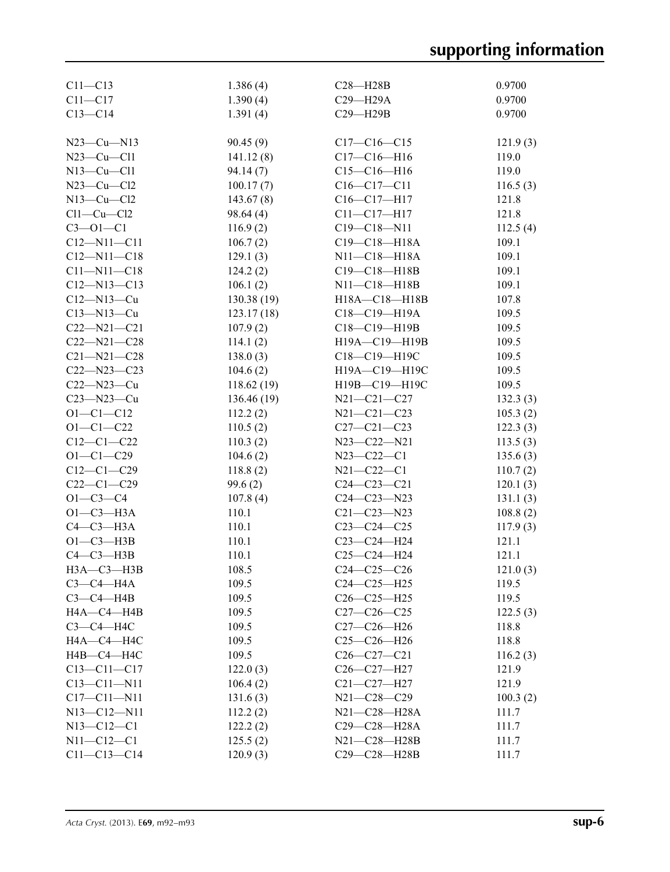| $C11 - C13$                   | 1.386(4)       | $C28 - H28B$       | 0.9700   |
|-------------------------------|----------------|--------------------|----------|
| $C11 - C17$                   | 1.390(4)       | $C29 - H29A$       | 0.9700   |
| $C13 - C14$                   | 1.391(4)       | $C29 - H29B$       | 0.9700   |
|                               |                |                    |          |
| $N23-Cu-N13$                  | 90.45(9)       | $C17-C16-C15$      | 121.9(3) |
| $N23-Cu-C11$                  | 141.12(8)      | $C17 - C16 - H16$  | 119.0    |
| $N13-Cu-C11$                  | 94.14(7)       | $C15 - C16 - H16$  | 119.0    |
| $N23-Cu-C12$                  | 100.17(7)      | $C16 - C17 - C11$  | 116.5(3) |
| $N13-Cu-C12$                  | 143.67(8)      | $C16 - C17 - H17$  | 121.8    |
| $Cl1-Cu-Cl2$                  | 98.64(4)       | $C11 - C17 - H17$  | 121.8    |
| $C3 - 01 - C1$                | 116.9(2)       | $C19 - C18 - N11$  | 112.5(4) |
| $C12 - N11 - C11$             | 106.7(2)       | $C19 - C18 - H18A$ | 109.1    |
| $C12 - N11 - C18$             | 129.1(3)       | N11-C18-H18A       | 109.1    |
| $C11 - N11 - C18$             | 124.2(2)       | $C19 - C18 - H18B$ | 109.1    |
| $C12 - N13 - C13$             | 106.1(2)       | $N11 - C18 - H18B$ | 109.1    |
| $C12 - N13 - Cu$              | 130.38(19)     | H18A-C18-H18B      | 107.8    |
| $C13 - N13 - Cu$              | 123.17(18)     | $C18 - C19 - H19A$ | 109.5    |
| $C22 - N21 - C21$             | 107.9(2)       | C18-C19-H19B       | 109.5    |
| $C22 - N21 - C28$             | 114.1(2)       | H19A-C19-H19B      | 109.5    |
| $C21 - N21 - C28$             | 138.0(3)       | C18-C19-H19C       | 109.5    |
| $C22 - N23 - C23$             | 104.6(2)       | H19A-C19-H19C      | 109.5    |
| $C22 - N23 - Cu$              | 118.62(19)     | H19B-C19-H19C      | 109.5    |
| $C23 - N23 - Cu$              | 136.46(19)     | $N21 - C21 - C27$  | 132.3(3) |
| $O1 - C1 - C12$               | 112.2(2)       | $N21 - C21 - C23$  | 105.3(2) |
| $O1 - C1 - C22$               | 110.5(2)       | $C27 - C21 - C23$  | 122.3(3) |
| $C12-C1-C22$                  |                | $N23 - C22 - N21$  |          |
| $O1 - C1 - C29$               | 110.3(2)       | $N23 - C22 - C1$   | 113.5(3) |
| $C12-C1-C29$                  | 104.6(2)       | $N21 - C22 - C1$   | 135.6(3) |
| $C22-C1-C29$                  | 118.8(2)       |                    | 110.7(2) |
|                               | 99.6(2)        | $C24 - C23 - C21$  | 120.1(3) |
| $O1 - C3 - C4$<br>$O1-C3-H3A$ | 107.8(4)       | $C24 - C23 - N23$  | 131.1(3) |
| $C4-C3-H3A$                   | 110.1          | $C21 - C23 - N23$  | 108.8(2) |
|                               | 110.1          | $C23-C24-C25$      | 117.9(3) |
| $O1-C3-H3B$                   | 110.1<br>110.1 | $C23-C24-H24$      | 121.1    |
| $C4-C3-H3B$                   |                | $C25-C24-H24$      | 121.1    |
| $H3A - C3 - H3B$              | 108.5          | $C24 - C25 - C26$  | 121.0(3) |
| $C3-C4-H4A$                   | 109.5          | $C24-C25-H25$      | 119.5    |
| $C3-C4-HAB$                   | 109.5          | $C26 - C25 - H25$  | 119.5    |
| HA—C4—H4B                     | 109.5          | $C27-C26-C25$      | 122.5(3) |
| $C3-C4-H4C$                   | 109.5          | $C27-C26-H26$      | 118.8    |
| HA—C4—H4C                     | 109.5          | $C25-C26-H26$      | 118.8    |
| H4B-C4-H4C                    | 109.5          | $C26-C27-C21$      | 116.2(3) |
| $C13 - C11 - C17$             | 122.0(3)       | $C26 - C27 - H27$  | 121.9    |
| $C13 - C11 - N11$             | 106.4(2)       | $C21 - C27 - H27$  | 121.9    |
| $C17 - C11 - N11$             | 131.6(3)       | $N21 - C28 - C29$  | 100.3(2) |
| $N13 - C12 - N11$             | 112.2(2)       | $N21 - C28 - H28A$ | 111.7    |
| $N13 - C12 - C1$              | 122.2(2)       | C29-C28-H28A       | 111.7    |
| $N11 - C12 - C1$              | 125.5(2)       | N21-C28-H28B       | 111.7    |
| $C11 - C13 - C14$             | 120.9(3)       | C29-C28-H28B       | 111.7    |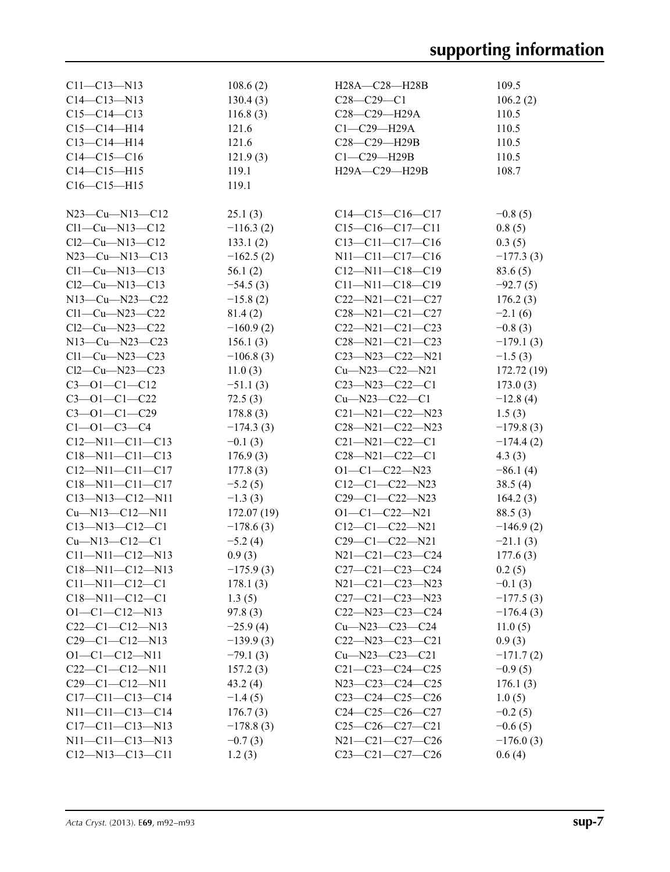| $C11 - C13 - N13$            | 108.6(2)    | $H28A - C28 - H28B$                                 | 109.5       |
|------------------------------|-------------|-----------------------------------------------------|-------------|
| $C14 - C13 - N13$            | 130.4(3)    | $C28 - C29 - C1$                                    | 106.2(2)    |
| $C15-C14-C13$                | 116.8(3)    | C <sub>28</sub> -C <sub>29</sub> -H <sub>29</sub> A | 110.5       |
| $C15-C14-H14$                | 121.6       | $C1-C29-H29A$                                       | 110.5       |
| $C13-C14-H14$                | 121.6       | C28-C29-H29B                                        | 110.5       |
| $C14-C15-C16$                | 121.9(3)    | $Cl$ -C29-H29B                                      | 110.5       |
| $C14 - C15 - H15$            | 119.1       | H29A-C29-H29B                                       | 108.7       |
| $C16-C15-H15$                | 119.1       |                                                     |             |
|                              |             |                                                     |             |
| $N23-Cu-N13-C12$             | 25.1(3)     | $C14-C15-C16-C17$                                   | $-0.8(5)$   |
| $Cl1-Cu-N13-C12$             | $-116.3(2)$ | $C15-C16-C17-C11$                                   | 0.8(5)      |
| $Cl2$ — $Cu$ — $N13$ — $Cl2$ | 133.1(2)    | $C13-C11-C17-C16$                                   | 0.3(5)      |
| $N23-Cu-N13-C13$             | $-162.5(2)$ | N11-C11-C17-C16                                     | $-177.3(3)$ |
| $Cl1-Cu-N13-C13$             | 56.1(2)     | $C12 - N11 - C18 - C19$                             | 83.6(5)     |
| $Cl2-Cu-N13-C13$             | $-54.5(3)$  | $C11 - N11 - C18 - C19$                             | $-92.7(5)$  |
| $N13-Cu-N23-C22$             | $-15.8(2)$  | $C22 - N21 - C21 - C27$                             | 176.2(3)    |
| $Cl1-Cu-N23-C22$             | 81.4(2)     | $C28 - N21 - C21 - C27$                             | $-2.1(6)$   |
| $Cl2-Cu-N23-C22$             | $-160.9(2)$ | $C22 - N21 - C21 - C23$                             | $-0.8(3)$   |
| $N13-Cu-N23-C23$             | 156.1(3)    | $C28 - N21 - C21 - C23$                             | $-179.1(3)$ |
| $Cl1-Cu-N23-C23$             | $-106.8(3)$ | $C23 - N23 - C22 - N21$                             | $-1.5(3)$   |
| $Cl2-Cu-N23-C23$             | 11.0(3)     | $Cu$ —N23—C22—N21                                   |             |
|                              |             | $C23 - N23 - C22 - C1$                              | 172.72(19)  |
| $C3 - 01 - C1 - C12$         | $-51.1(3)$  |                                                     | 173.0(3)    |
| $C3 - 01 - C1 - C22$         | 72.5(3)     | $Cu$ —N23—C22—C1                                    | $-12.8(4)$  |
| $C3 - 01 - C1 - C29$         | 178.8(3)    | $C21 - N21 - C22 - N23$                             | 1.5(3)      |
| $C1 - 01 - C3 - C4$          | $-174.3(3)$ | C28-N21-C22-N23                                     | $-179.8(3)$ |
| $C12 - N11 - C11 - C13$      | $-0.1(3)$   | $C21 - N21 - C22 - C1$                              | $-174.4(2)$ |
| $C18 - N11 - C11 - C13$      | 176.9(3)    | $C28 - N21 - C22 - C1$                              | 4.3(3)      |
| $C12 - N11 - C11 - C17$      | 177.8(3)    | $O1-C1-C22-N23$                                     | $-86.1(4)$  |
| $C18 - N11 - C11 - C17$      | $-5.2(5)$   | $C12-C1-C22-N23$                                    | 38.5(4)     |
| $C13 - N13 - C12 - N11$      | $-1.3(3)$   | $C29-C1-C22-N23$                                    | 164.2(3)    |
| $Cu$ —N13—C12—N11            | 172.07(19)  | $O1 - C1 - C22 - N21$                               | 88.5(3)     |
| $C13 - N13 - C12 - C1$       | $-178.6(3)$ | $C12-C1-C22-N21$                                    | $-146.9(2)$ |
| $Cu$ —N13—C12—C1             | $-5.2(4)$   | $C29-C1-C22-N21$                                    | $-21.1(3)$  |
| $C11 - N11 - C12 - N13$      | 0.9(3)      | N21-C21-C23-C24                                     | 177.6(3)    |
| $C18 - N11 - C12 - N13$      | $-175.9(3)$ | $C27-C21-C23-C24$                                   | 0.2(5)      |
| $C11 - N11 - C12 - C1$       | 178.1(3)    | $N21 - C21 - C23 - N23$                             | $-0.1(3)$   |
| $C18 - N11 - C12 - C1$       | 1.3(5)      | $C27-C21-C23-N23$                                   | $-177.5(3)$ |
| $O1-C1-C12-N13$              | 97.8(3)     | $C22 - N23 - C23 - C24$                             | $-176.4(3)$ |
| $C22-C1-C12-N13$             | $-25.9(4)$  | $Cu$ —N23—C23—C24                                   | 11.0(5)     |
| $C29-C1-C12-N13$             | $-139.9(3)$ | $C22 - N23 - C23 - C21$                             | 0.9(3)      |
| $O1 - C1 - C12 - N11$        | $-79.1(3)$  | $Cu$ —N23—C23—C21                                   | $-171.7(2)$ |
| $C22-C1-C12-N11$             | 157.2(3)    | $C21 - C23 - C24 - C25$                             | $-0.9(5)$   |
| $C29-C1-C12-N11$             | 43.2(4)     | $N23 - C23 - C24 - C25$                             | 176.1(3)    |
| $C17-C11-C13-C14$            | $-1.4(5)$   | $C23-C24-C25-C26$                                   | 1.0(5)      |
| $N11 - C11 - C13 - C14$      | 176.7(3)    | $C24-C25-C26-C27$                                   | $-0.2(5)$   |
| $C17-C11-C13-N13$            | $-178.8(3)$ | $C25-C26-C27-C21$                                   | $-0.6(5)$   |
| $N11 - C11 - C13 - N13$      | $-0.7(3)$   | N21-C21-C27-C26                                     | $-176.0(3)$ |
| $C12 - N13 - C13 - C11$      | 1.2(3)      | $C23-C21-C27-C26$                                   | 0.6(4)      |